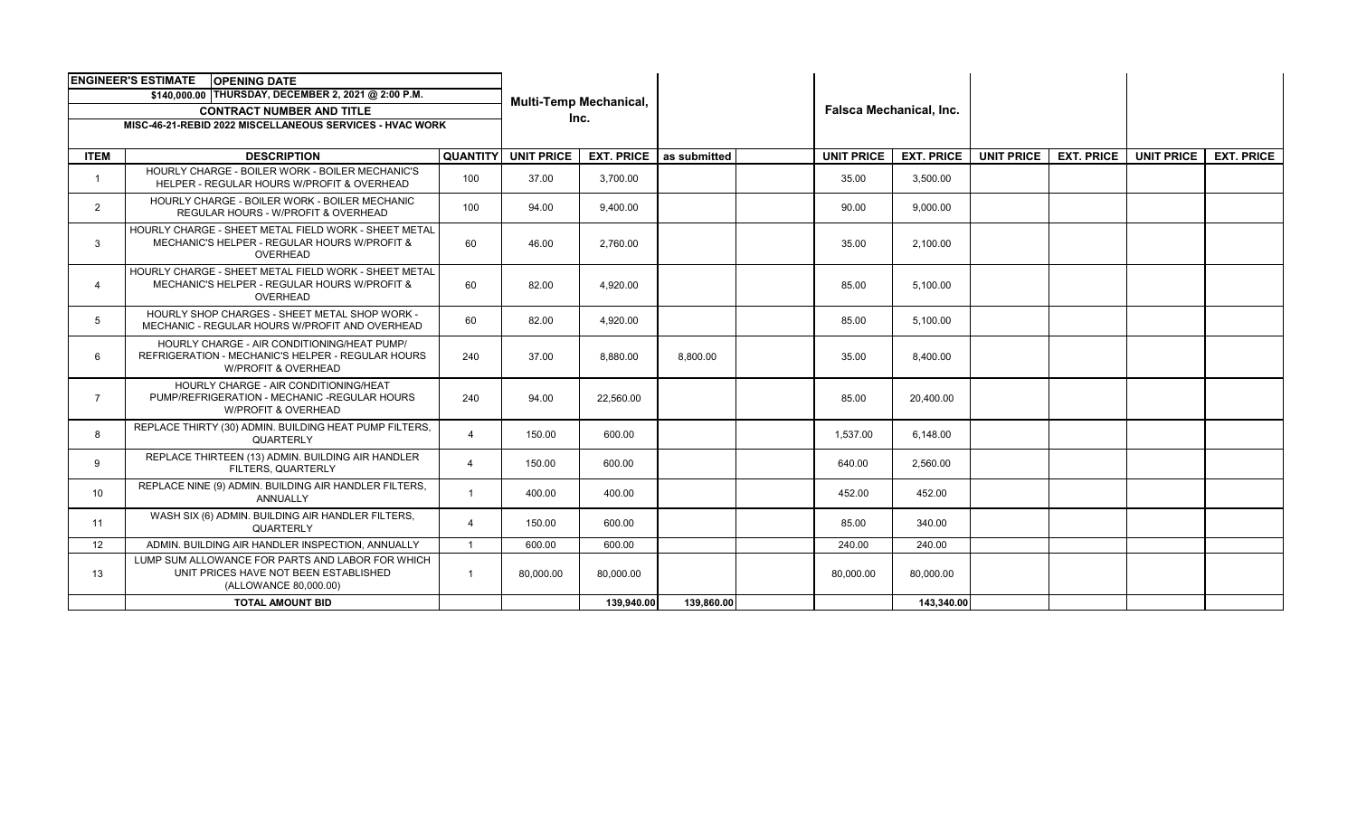| <b>ENGINEER'S ESTIMATE</b><br><b>OPENING DATE</b>        |                                                                                                                         |                         | <b>Multi-Temp Mechanical,</b><br>Inc. |                   |              |  |                                |                   |                   |                   |                   |                   |
|----------------------------------------------------------|-------------------------------------------------------------------------------------------------------------------------|-------------------------|---------------------------------------|-------------------|--------------|--|--------------------------------|-------------------|-------------------|-------------------|-------------------|-------------------|
| \$140,000.00 THURSDAY, DECEMBER 2, 2021 @ 2:00 P.M.      |                                                                                                                         |                         |                                       |                   |              |  | <b>Falsca Mechanical, Inc.</b> |                   |                   |                   |                   |                   |
| <b>CONTRACT NUMBER AND TITLE</b>                         |                                                                                                                         |                         |                                       |                   |              |  |                                |                   |                   |                   |                   |                   |
| MISC-46-21-REBID 2022 MISCELLANEOUS SERVICES - HVAC WORK |                                                                                                                         |                         |                                       |                   |              |  |                                |                   |                   |                   |                   |                   |
|                                                          |                                                                                                                         |                         |                                       |                   |              |  |                                |                   |                   |                   |                   |                   |
| <b>ITEM</b>                                              | <b>DESCRIPTION</b>                                                                                                      | <b>QUANTITY</b>         | <b>UNIT PRICE</b>                     | <b>EXT. PRICE</b> | as submitted |  | <b>UNIT PRICE</b>              | <b>EXT. PRICE</b> | <b>UNIT PRICE</b> | <b>EXT. PRICE</b> | <b>UNIT PRICE</b> | <b>EXT. PRICE</b> |
|                                                          | HOURLY CHARGE - BOILER WORK - BOILER MECHANIC'S<br>HELPER - REGULAR HOURS W/PROFIT & OVERHEAD                           | 100                     | 37.00                                 | 3,700.00          |              |  | 35.00                          | 3,500.00          |                   |                   |                   |                   |
| $\mathbf{2}$                                             | HOURLY CHARGE - BOILER WORK - BOILER MECHANIC<br>REGULAR HOURS - W/PROFIT & OVERHEAD                                    | 100                     | 94.00                                 | 9,400.00          |              |  | 90.00                          | 9,000.00          |                   |                   |                   |                   |
| 3                                                        | HOURLY CHARGE - SHEET METAL FIELD WORK - SHEET METAL<br>MECHANIC'S HELPER - REGULAR HOURS W/PROFIT &<br>OVERHEAD        | 60                      | 46.00                                 | 2.760.00          |              |  | 35.00                          | 2,100.00          |                   |                   |                   |                   |
| 4                                                        | HOURLY CHARGE - SHEET METAL FIELD WORK - SHEET METAL<br>MECHANIC'S HELPER - REGULAR HOURS W/PROFIT &<br>OVERHEAD        | 60                      | 82.00                                 | 4.920.00          |              |  | 85.00                          | 5,100.00          |                   |                   |                   |                   |
| 5                                                        | HOURLY SHOP CHARGES - SHEET METAL SHOP WORK -<br>MECHANIC - REGULAR HOURS W/PROFIT AND OVERHEAD                         | 60                      | 82.00                                 | 4.920.00          |              |  | 85.00                          | 5,100.00          |                   |                   |                   |                   |
| 6                                                        | HOURLY CHARGE - AIR CONDITIONING/HEAT PUMP/<br>REFRIGERATION - MECHANIC'S HELPER - REGULAR HOURS<br>W/PROFIT & OVERHEAD | 240                     | 37.00                                 | 8.880.00          | 8.800.00     |  | 35.00                          | 8.400.00          |                   |                   |                   |                   |
| $\overline{7}$                                           | HOURLY CHARGE - AIR CONDITIONING/HEAT<br>PUMP/REFRIGERATION - MECHANIC -REGULAR HOURS<br><b>W/PROFIT &amp; OVERHEAD</b> | 240                     | 94.00                                 | 22.560.00         |              |  | 85.00                          | 20.400.00         |                   |                   |                   |                   |
| 8                                                        | REPLACE THIRTY (30) ADMIN. BUILDING HEAT PUMP FILTERS,<br>QUARTERLY                                                     | $\Delta$                | 150.00                                | 600.00            |              |  | 1,537.00                       | 6,148.00          |                   |                   |                   |                   |
| 9                                                        | REPLACE THIRTEEN (13) ADMIN. BUILDING AIR HANDLER<br>FILTERS, QUARTERLY                                                 | 4                       | 150.00                                | 600.00            |              |  | 640.00                         | 2,560.00          |                   |                   |                   |                   |
| 10 <sup>°</sup>                                          | REPLACE NINE (9) ADMIN. BUILDING AIR HANDLER FILTERS,<br>ANNUALLY                                                       | -1                      | 400.00                                | 400.00            |              |  | 452.00                         | 452.00            |                   |                   |                   |                   |
| 11                                                       | WASH SIX (6) ADMIN. BUILDING AIR HANDLER FILTERS,<br>QUARTERLY                                                          | 4                       | 150.00                                | 600.00            |              |  | 85.00                          | 340.00            |                   |                   |                   |                   |
| 12                                                       | ADMIN. BUILDING AIR HANDLER INSPECTION, ANNUALLY                                                                        | $\overline{\mathbf{1}}$ | 600.00                                | 600.00            |              |  | 240.00                         | 240.00            |                   |                   |                   |                   |
| 13                                                       | LUMP SUM ALLOWANCE FOR PARTS AND LABOR FOR WHICH<br>UNIT PRICES HAVE NOT BEEN ESTABLISHED<br>(ALLOWANCE 80,000.00)      | $\mathbf{1}$            | 80,000.00                             | 80,000.00         |              |  | 80,000.00                      | 80,000.00         |                   |                   |                   |                   |
|                                                          | <b>TOTAL AMOUNT BID</b>                                                                                                 |                         |                                       | 139,940.00        | 139,860.00   |  |                                | 143,340.00        |                   |                   |                   |                   |